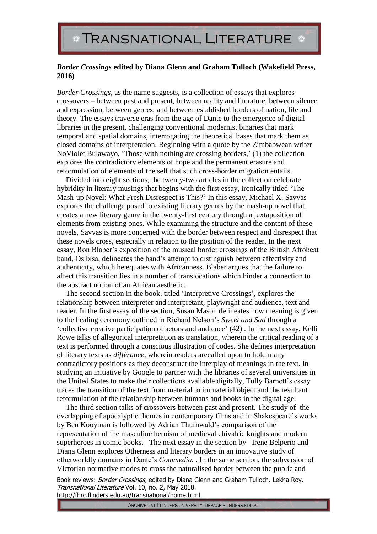## *Border Crossings* **edited by Diana Glenn and Graham Tulloch (Wakefield Press, 2016)**

*Border Crossings,* as the name suggests, is a collection of essays that explores crossovers – between past and present, between reality and literature, between silence and expression, between genres, and between established borders of nation, life and theory. The essays traverse eras from the age of Dante to the emergence of digital libraries in the present, challenging conventional modernist binaries that mark temporal and spatial domains, interrogating the theoretical bases that mark them as closed domains of interpretation. Beginning with a quote by the Zimbabwean writer NoViolet Bulawayo, 'Those with nothing are crossing borders,' (1) the collection explores the contradictory elements of hope and the permanent erasure and reformulation of elements of the self that such cross-border migration entails.

Divided into eight sections, the twenty-two articles in the collection celebrate hybridity in literary musings that begins with the first essay, ironically titled 'The Mash-up Novel: What Fresh Disrespect is This?' In this essay, Michael X. Savvas explores the challenge posed to existing literary genres by the mash-up novel that creates a new literary genre in the twenty-first century through a juxtaposition of elements from existing ones. While examining the structure and the content of these novels, Savvas is more concerned with the border between respect and disrespect that these novels cross, especially in relation to the position of the reader. In the next essay, Ron Blaber's exposition of the musical border crossings of the British Afrobeat band, Osibisa, delineates the band's attempt to distinguish between affectivity and authenticity, which he equates with Africanness. Blaber argues that the failure to affect this transition lies in a number of translocations which hinder a connection to the abstract notion of an African aesthetic.

The second section in the book, titled 'Interpretive Crossings', explores the relationship between interpreter and interpretant, playwright and audience, text and reader. In the first essay of the section, Susan Mason delineates how meaning is given to the healing ceremony outlined in Richard Nelson's *Sweet and Sad* through a 'collective creative participation of actors and audience' (42) . In the next essay, Kelli Rowe talks of allegorical interpretation as translation, wherein the critical reading of a text is performed through a conscious illustration of codes. She defines interpretation of literary texts as *différance*, wherein readers arecalled upon to hold many contradictory positions as they deconstruct the interplay of meanings in the text. In studying an initiative by Google to partner with the libraries of several universities in the United States to make their collections available digitally, Tully Barnett's essay traces the transition of the text from material to immaterial object and the resultant reformulation of the relationship between humans and books in the digital age.

The third section talks of crossovers between past and present. The study of the overlapping of apocalyptic themes in contemporary films and in Shakespeare's works by Ben Kooyman is followed by Adrian Thurnwald's comparison of the representation of the masculine heroism of medieval chivalric knights and modern superheroes in comic books. The next essay in the section by Irene Belperio and Diana Glenn explores Otherness and literary borders in an innovative study of otherworldly domains in Dante's *Commedia.* . In the same section, the subversion of Victorian normative modes to cross the naturalised border between the public and

Book reviews: Border Crossings, edited by Diana Glenn and Graham Tulloch. Lekha Roy. Transnational Literature Vol. 10, no. 2, May 2018. http://fhrc.flinders.edu.au/transnational/home.html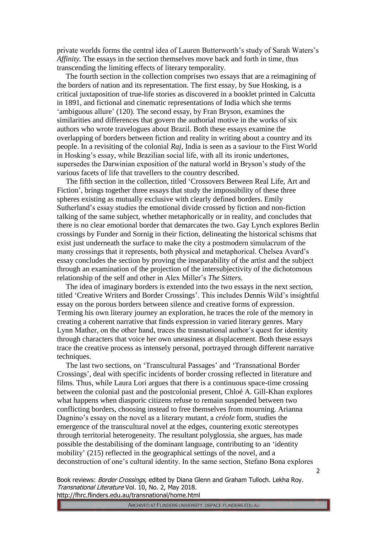private worlds forms the central idea of Lauren Butterworth's study of Sarah Waters's *Affinity.* The essays in the section themselves move back and forth in time, thus transcending the limiting effects of literary temporality.

The fourth section in the collection comprises two essays that are a reimagining of the borders of nation and its representation. The first essay, by Sue Hosking, is a critical juxtaposition of true-life stories as discovered in a booklet printed in Calcutta in 1891, and fictional and cinematic representations of India which she terms 'ambiguous allure' (120). The second essay, by Fran Bryson, examines the similarities and differences that govern the authorial motive in the works of six authors who wrote travelogues about Brazil. Both these essays examine the overlapping of borders between fiction and reality in writing about a country and its people. In a revisiting of the colonial *Raj*, India is seen as a saviour to the First World in Hosking's essay, while Brazilian social life, with all its ironic undertones, supersedes the Darwinian exposition of the natural world in Bryson's study of the various facets of life that travellers to the country described.

The fifth section in the collection, titled 'Crossovers Between Real Life, Art and Fiction', brings together three essays that study the impossibility of these three spheres existing as mutually exclusive with clearly defined borders. Emily Sutherland's essay studies the emotional divide crossed by fiction and non-fiction talking of the same subject, whether metaphorically or in reality, and concludes that there is no clear emotional border that demarcates the two. Gay Lynch explores Berlin crossings by Funder and Sornig in their fiction, delineating the historical schisms that exist just underneath the surface to make the city a postmodern simulacrum of the many crossings that it represents, both physical and metaphorical. Chelsea Avard's essay concludes the section by proving the inseparability of the artist and the subject through an examination of the projection of the intersubjectivity of the dichotomous relationship of the self and other in Alex Miller's *The Sitters.*

The idea of imaginary borders is extended into the two essays in the next section, titled 'Creative Writers and Border Crossings'. This includes Dennis Wild's insightful essay on the porous borders between silence and creative forms of expression. Terming his own literary journey an exploration, he traces the role of the memory in creating a coherent narrative that finds expression in varied literary genres. Mary Lynn Mather, on the other hand, traces the transnational author's quest for identity through characters that voice her own uneasiness at displacement. Both these essays trace the creative process as intensely personal, portrayed through different narrative techniques.

The last two sections, on 'Transcultural Passages' and 'Transnational Border Crossings', deal with specific incidents of border crossing reflected in literature and films. Thus, while Laura Lori argues that there is a continuous space-time crossing between the colonial past and the postcolonial present, Chloé A. Gill-Khan explores what happens when diasporic citizens refuse to remain suspended between two conflicting borders, choosing instead to free themselves from mourning. Arianna Dagnino's essay on the novel as a literary mutant, a *créole* form, studies the emergence of the transcultural novel at the edges, countering exotic stereotypes through territorial heterogeneity. The resultant polyglossia, she argues, has made possible the destabilising of the dominant language, contributing to an 'identity mobility' (215) reflected in the geographical settings of the novel, and a deconstruction of one's cultural identity. In the same section, Stefano Bona explores

Book reviews: Border Crossings, edited by Diana Glenn and Graham Tulloch. Lekha Roy. Transnational Literature Vol. 10, No. 2, May 2018. http://fhrc.flinders.edu.au/transnational/home.html

ARCHIVED AT FLINDERS UNIVERSITY: DSPACE.FLINDERS.EDU.AU